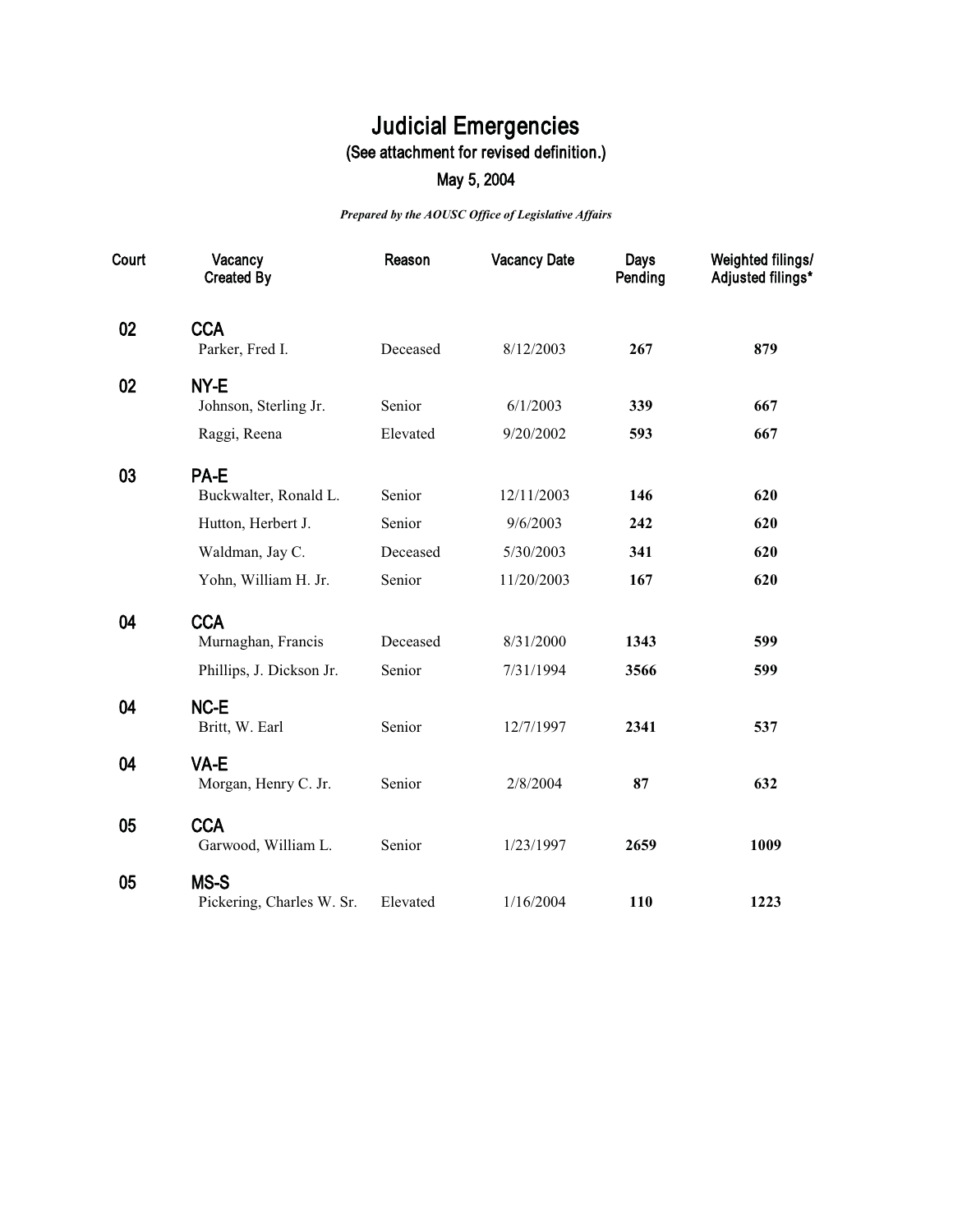## **Judicial Emergencies (See attachment for revised definition.)**

## **May 5, 2004**

*Prepared by the AOUSC Office of Legislative Affairs*

| Court | Vacancy<br><b>Created By</b> | Reason   | <b>Vacancy Date</b> | Days<br>Pending | Weighted filings/<br>Adjusted filings* |
|-------|------------------------------|----------|---------------------|-----------------|----------------------------------------|
| 02    | <b>CCA</b>                   |          |                     |                 |                                        |
|       | Parker, Fred I.              | Deceased | 8/12/2003           | 267             | 879                                    |
| 02    | NY-E                         |          |                     |                 |                                        |
|       | Johnson, Sterling Jr.        | Senior   | 6/1/2003            | 339             | 667                                    |
|       | Raggi, Reena                 | Elevated | 9/20/2002           | 593             | 667                                    |
| 03    | PA-E                         |          |                     |                 |                                        |
|       | Buckwalter, Ronald L.        | Senior   | 12/11/2003          | 146             | 620                                    |
|       | Hutton, Herbert J.           | Senior   | 9/6/2003            | 242             | 620                                    |
|       | Waldman, Jay C.              | Deceased | 5/30/2003           | 341             | 620                                    |
|       | Yohn, William H. Jr.         | Senior   | 11/20/2003          | 167             | 620                                    |
| 04    | <b>CCA</b>                   |          |                     |                 |                                        |
|       | Murnaghan, Francis           | Deceased | 8/31/2000           | 1343            | 599                                    |
|       | Phillips, J. Dickson Jr.     | Senior   | 7/31/1994           | 3566            | 599                                    |
| 04    | NC-E                         |          |                     |                 |                                        |
|       | Britt, W. Earl               | Senior   | 12/7/1997           | 2341            | 537                                    |
| 04    | VA-E                         |          |                     |                 |                                        |
|       | Morgan, Henry C. Jr.         | Senior   | 2/8/2004            | 87              | 632                                    |
| 05    | <b>CCA</b>                   |          |                     |                 |                                        |
|       | Garwood, William L.          | Senior   | 1/23/1997           | 2659            | 1009                                   |
| 05    | MS-S                         |          |                     |                 |                                        |
|       | Pickering, Charles W. Sr.    | Elevated | 1/16/2004           | 110             | 1223                                   |